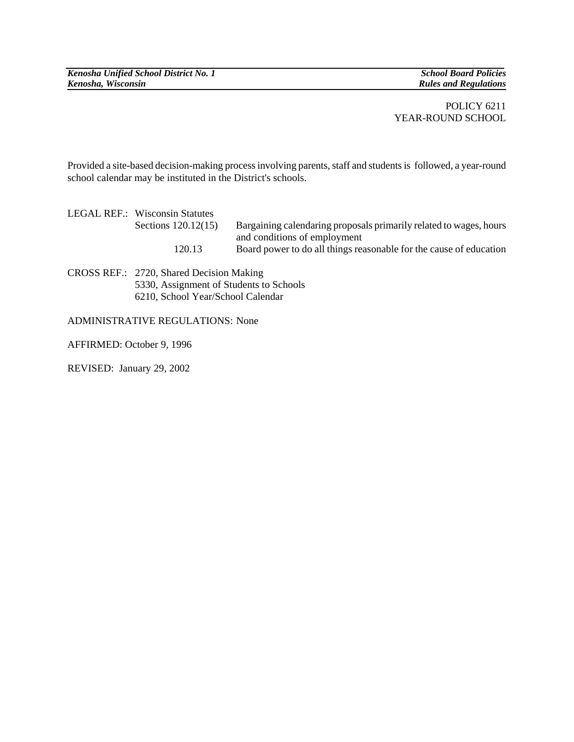*Kenosha Unified School District No. 1* School Board Policies *School Board Policies*<br> *Kenosha, Wisconsin* 

*Rules and Regulations* 

## POLICY 6211 YEAR-ROUND SCHOOL

Provided a site-based decision-making process involving parents, staff and students is followed, a year-round school calendar may be instituted in the District's schools.

| LEGAL REF.: Wisconsin Statutes |                                                                    |
|--------------------------------|--------------------------------------------------------------------|
| Sections 120.12(15)            | Bargaining calendaring proposals primarily related to wages, hours |
|                                | and conditions of employment                                       |
| 120.13                         | Board power to do all things reasonable for the cause of education |
|                                |                                                                    |

CROSS REF.: 2720, Shared Decision Making 5330, Assignment of Students to Schools 6210, School Year/School Calendar

## ADMINISTRATIVE REGULATIONS: None

AFFIRMED: October 9, 1996

REVISED: January 29, 2002